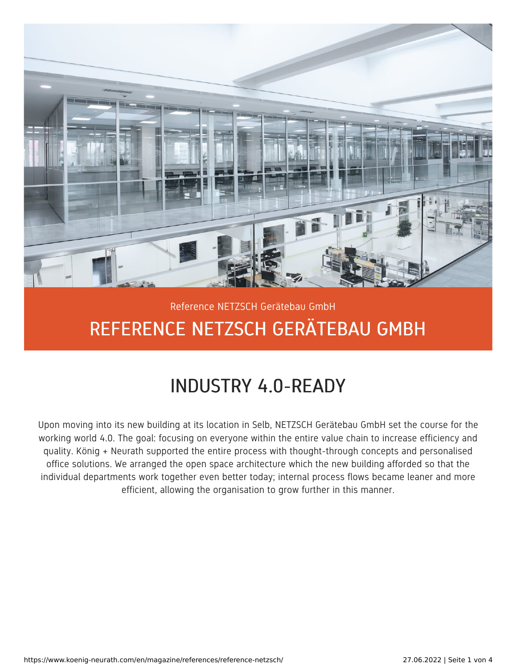

## Reference NETZSCH Gerätebau GmbH REFERENCE NETZSCH GERÄTEBAU GMBH

## INDUSTRY 4.0-READY

Upon moving into its new building at its location in Selb, NETZSCH Gerätebau GmbH set the course for the working world 4.0. The goal: focusing on everyone within the entire value chain to increase efficiency and quality. König + Neurath supported the entire process with thought-through concepts and personalised office solutions. We arranged the open space architecture which the new building afforded so that the individual departments work together even better today; internal process flows became leaner and more efficient, allowing the organisation to grow further in this manner.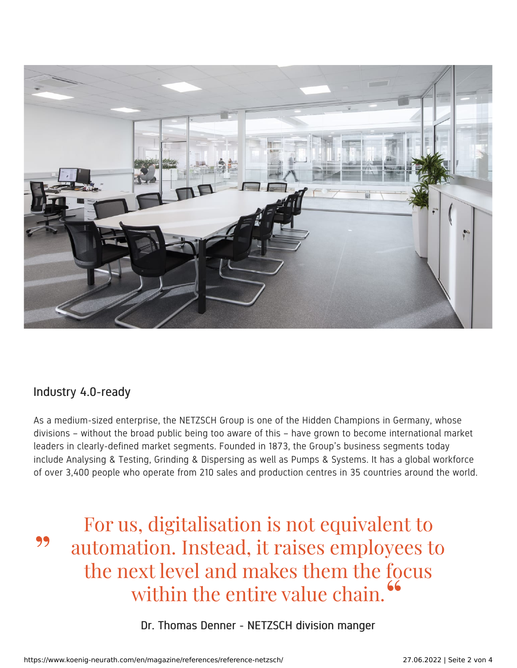

## Industry 4.0-ready

As a medium-sized enterprise, the NETZSCH Group is one of the Hidden Champions in Germany, whose divisions – without the broad public being too aware of this – have grown to become international market leaders in clearly-defined market segments. Founded in 1873, the Group's business segments today include Analysing & Testing, Grinding & Dispersing as well as Pumps & Systems. It has a global workforce of over 3,400 people who operate from 210 sales and production centres in 35 countries around the world.

For us, digitalisation is not equivalent to automation. Instead, it raises employees to the next level and makes them the focus within the entire value chain. 99 "

Dr. Thomas Denner - NETZSCH division manger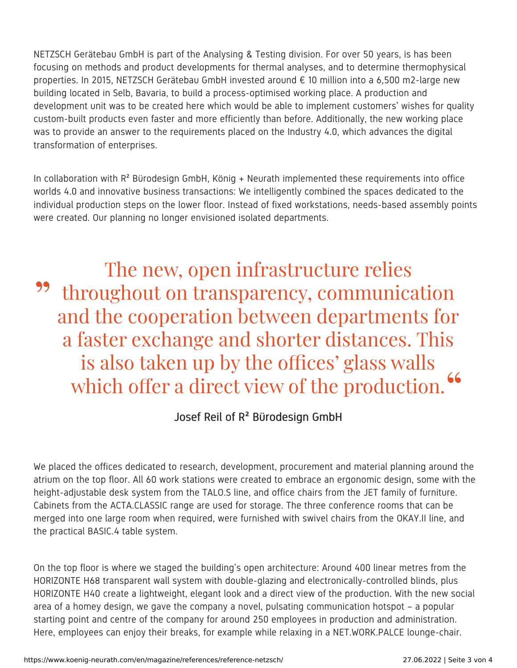NETZSCH Gerätebau GmbH is part of the Analysing & Testing division. For over 50 years, is has been focusing on methods and product developments for thermal analyses, and to determine thermophysical properties. In 2015, NETZSCH Gerätebau GmbH invested around € 10 million into a 6,500 m2-large new building located in Selb, Bavaria, to build a process-optimised working place. A production and development unit was to be created here which would be able to implement customers' wishes for quality custom-built products even faster and more efficiently than before. Additionally, the new working place was to provide an answer to the requirements placed on the Industry 4.0, which advances the digital transformation of enterprises.

In collaboration with  $R^2$  Bürodesign GmbH, König + Neurath implemented these requirements into office worlds 4.0 and innovative business transactions: We intelligently combined the spaces dedicated to the individual production steps on the lower floor. Instead of fixed workstations, needs-based assembly points were created. Our planning no longer envisioned isolated departments.

The new, open infrastructure relies throughout on transparency, communication and the cooperation between departments for a faster exchange and shorter distances. This is also taken up by the offices' glass walls which offer a direct view of the production. **"** "

## Josef Reil of R² Bürodesign GmbH

We placed the offices dedicated to research, development, procurement and material planning around the atrium on the top floor. All 60 work stations were created to embrace an ergonomic design, some with the height-adjustable desk system from the TALO.S line, and office chairs from the JET family of furniture. Cabinets from the ACTA.CLASSIC range are used for storage. The three conference rooms that can be merged into one large room when required, were furnished with swivel chairs from the OKAY.II line, and the practical BASIC.4 table system.

On the top floor is where we staged the building's open architecture: Around 400 linear metres from the HORIZONTE H68 transparent wall system with double-glazing and electronically-controlled blinds, plus HORIZONTE H40 create a lightweight, elegant look and a direct view of the production. With the new social area of a homey design, we gave the company a novel, pulsating communication hotspot – a popular starting point and centre of the company for around 250 employees in production and administration. Here, employees can enjoy their breaks, for example while relaxing in a NET.WORK.PALCE lounge-chair.